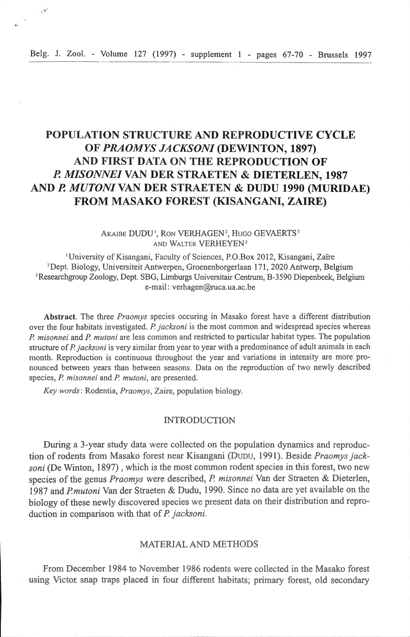$\mathcal{L}^{\mathbf{S}^{\mathbf{S}}}$ 

# **POPULATION STRUCTURE AND REPRODUCTIVE CYCLE OF** *PRAOMYS JACKSON/* **(DEWINTON, 1897) AND FIRST DATA ON THE REPRODUCTION OF P.** *MISONNEI* **VAN DER STRAETEN & DIETERLEN, 1987 AND** *P. MUTONIVAN* **DER STRAETEN &** *DVDV* **1990 (MURIDAE) FROM MASAKO FOREST (KISANGANI, ZAIRE)**

### AKAIBE DUDU', RON VERHAGEN<sup>2</sup>, HUGO GEVAERTS<sup>3</sup> AND WALTER VERHEYEN<sup>2</sup>

'University of Kisangani, Faculty of Sciences, P.O.Box 2012, Kisangani, Zaïre <sup>2</sup>Dept. Biology, Universiteit Antwerpen, Groenenborgerlaan 171, 2020 Antwerp, Belgium ' Researchgroup Zoology, Dept. SBG, Limburgs Universitair Centrum, 8 -3590 Diepenbeek, Belgium e-mail: verhagen@ruca.ua.ac.be

Abstract. The three *Praomys* species occuring in Masako forest have a different distribution over the four habitats investigated. *P jacksoni* is the most common and widespread species whereas *P. misonnei* and *P. mutoni* are less common and restricted to particular habitat types. The population structure of *P. jacksoni* is very similar from year to year with a predominance of adult animals in each month. Reproduction is continuous throughout the year and variations in intensity are more pronounced between years than between seasons. Data on the reproduction of two newly described species, *P. misonnei* and *P. mutoni*, are presented.

*Key words*: Rodentia, *Praomys*, Zaire, population biology.

## INTRODUCTION

During a 3-year study data were collected on the population dynamics and reproduction of rodents from Masako forest near Kisangani (DUDU, 1991). Beside *Praomys jacksoni* (De Winton, 1897) , wbich is the most common rodent species in this forest, two new species of the genus *Praomys* were described, *P. misonnei* Van der Straeten & Dieterlen, 1987 and *Pmutoni* Van der Straeten & Dudu, 1990. Since no data are yet available on the biology of tbese newly discovered species we present data on their distribution and reproduction in comparison witb tbat of *P j acksoni.* 

# MATERIAL AND METHODS

From December 1984 to November 1986 rodents were collected in the Masako forest using Victor snap traps placed in four different habitats; primary forest, old secondary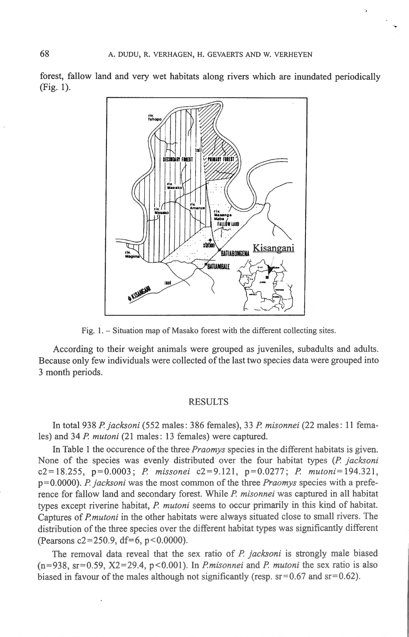-.

forest, fallow land and very wet habitats along rivers which are inundated periodically (Fig. 1).



Fig. 1. - Situation map of Masako forest with the different collecting sites.

According to their weight animais were grouped as juveniles, subadults and adults. Because only few individuals were collected of the last two species data were grouped into 3 month periods.

#### RESULTS

In total 938 *P jacksoni* (552 males: 386 females), 33 *P misonnei* (22 males: 11 females) and 34 *P mutoni* (21 males: 13 females) were captured.

In Table 1 the occurence of the three *Praomys* species in the different habitats is given. None of the species was evenly distributed over the four habitat types *(P. jacksoni*) c2 = 18.255 , p =0. 0003 ; *P missonei* c2 =9.12l , p = 0.0277 ; *P mutoni= l94.321 ,*  p=0.0000). *P. jacksoni* was the most common of the three *Praomys* species with a preference for fallow land and secondary forest. While *P. misonnei* was captured in all habitat types except riverine habitat, *P. mutoni* seems to occur primarily in this kind of habitat. Captures of *Pmutoni* in the other habitats were always situated close to small rivers. The distribution of the three species over the different habitat types was significantly different (Pearsons  $c2 = 250.9$ , df=6, p<0.0000).

The removal data reveal that the sex ratio of *P. jacksoni* is strongly male biased  $(n=938, s=0.59, X2=29.4, p<0.001)$ . In *Pmisonnei* and *P. mutoni* the sex ratio is also biased in favour of the males although not significantly (resp.  $sr = 0.67$  and  $sr = 0.62$ ).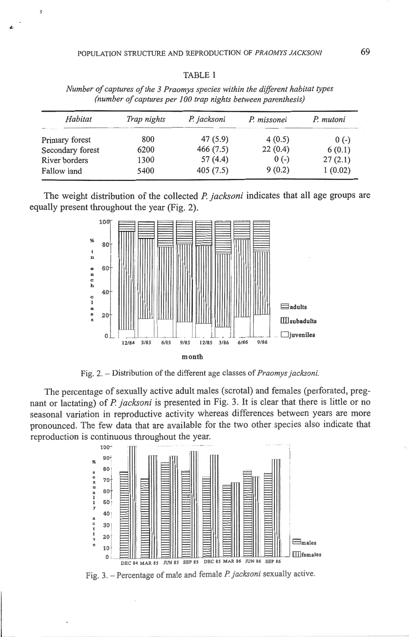3

| (number of captures per 100 trap nights between parenthesis) |             |             |             |           |
|--------------------------------------------------------------|-------------|-------------|-------------|-----------|
| Habitat                                                      | Trap nights | P. jacksoni | P. missonei | P. mutoni |
| Primary forest                                               | 800         | 47(5.9)     | 4(0.5)      | $0(-)$    |
| Secondary forest                                             | 6200        | 466(7.5)    | 22(0.4)     | 6(0.1)    |
| River borders                                                | 1300        | 57 (4.4)    | $0(-)$      | 27(2.1)   |
| Fallow land                                                  | 5400        | 405(7.5)    | 9(0.2)      | 1(0.02)   |
|                                                              |             |             |             |           |

TABLE 1

*Number of captures of the 3 Praomys species within the diffèrent habitat types* 

The weight distribution of the collected *P. jacksoni* indicates that all age groups are equally present throughout the year (Fig. 2).



Fig. 2. - Distribution of the different age classes of *Praomys jacksoni.* 

The percentage of sexually active adult males (scrotal) and females (perforated, pregnant or lactating) of *P jacksoni* is presented in Fig. 3. lt is clear that there is little or no seasonal variation in reproductive activity whereas differences between years are more pronounced. The few data that are available for the two other species also indicate that reproduction is continuous throughout the year.



Fig. 3. - Percentage of male and female *P. jacksoni* sexually active.